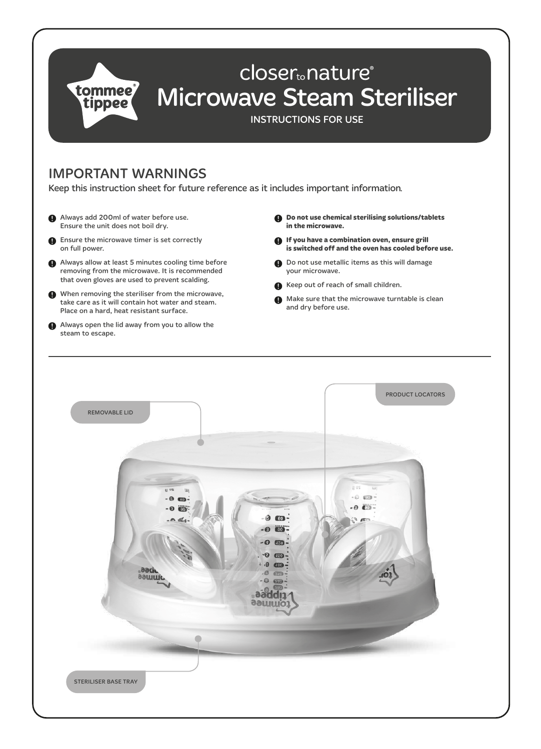

## IMPORTANT WARNINGS

Keep this instruction sheet for future reference as it includes important information.

- Always add 200ml of water before use. Ensure the unit does not boil dry.
- **B** Ensure the microwave timer is set correctly on full power.
- Always allow at least 5 minutes cooling time before removing from the microwave. It is recommended that oven gloves are used to prevent scalding.
- When removing the steriliser from the microwave, take care as it will contain hot water and steam. Place on a hard, heat resistant surface.
- Always open the lid away from you to allow the steam to escape.
- **Do not use chemical sterilising solutions/tablets in the microwave.**
- **If you have a combination oven, ensure grill is switched off and the oven has cooled before use.**
- $\bigoplus$  Do not use metallic items as this will damage your microwave.
- Keep out of reach of small children.
- Make sure that the microwave turntable is clean and dry before use.